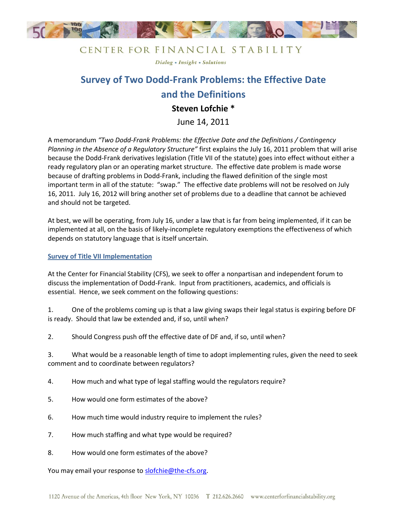

### CENTER FOR FINANCIAL STABILITY

Dialog . Insight . Solutions

# **Survey of Two Dodd-Frank Problems: the Effective Date and the Definitions**

## **Steven Lofchie \***

June 14, 2011

A memorandum *"Two Dodd-Frank Problems: the Effective Date and the Definitions / Contingency Planning in the Absence of a Regulatory Structure"* first explains the July 16, 2011 problem that will arise because the Dodd-Frank derivatives legislation (Title VII of the statute) goes into effect without either a ready regulatory plan or an operating market structure. The effective date problem is made worse because of drafting problems in Dodd-Frank, including the flawed definition of the single most important term in all of the statute: "swap." The effective date problems will not be resolved on July 16, 2011. July 16, 2012 will bring another set of problems due to a deadline that cannot be achieved and should not be targeted.

At best, we will be operating, from July 16, under a law that is far from being implemented, if it can be implemented at all, on the basis of likely-incomplete regulatory exemptions the effectiveness of which depends on statutory language that is itself uncertain.

#### **Survey of Title VII Implementation**

At the Center for Financial Stability (CFS), we seek to offer a nonpartisan and independent forum to discuss the implementation of Dodd-Frank. Input from practitioners, academics, and officials is essential. Hence, we seek comment on the following questions:

1. One of the problems coming up is that a law giving swaps their legal status is expiring before DF is ready. Should that law be extended and, if so, until when?

2. Should Congress push off the effective date of DF and, if so, until when?

3. What would be a reasonable length of time to adopt implementing rules, given the need to seek comment and to coordinate between regulators?

4. How much and what type of legal staffing would the regulators require?

- 5. How would one form estimates of the above?
- 6. How much time would industry require to implement the rules?
- 7. How much staffing and what type would be required?
- 8. How would one form estimates of the above?

You may email your response to [slofchie@the-cfs.org.](mailto:slofchie@the-cfs.org)